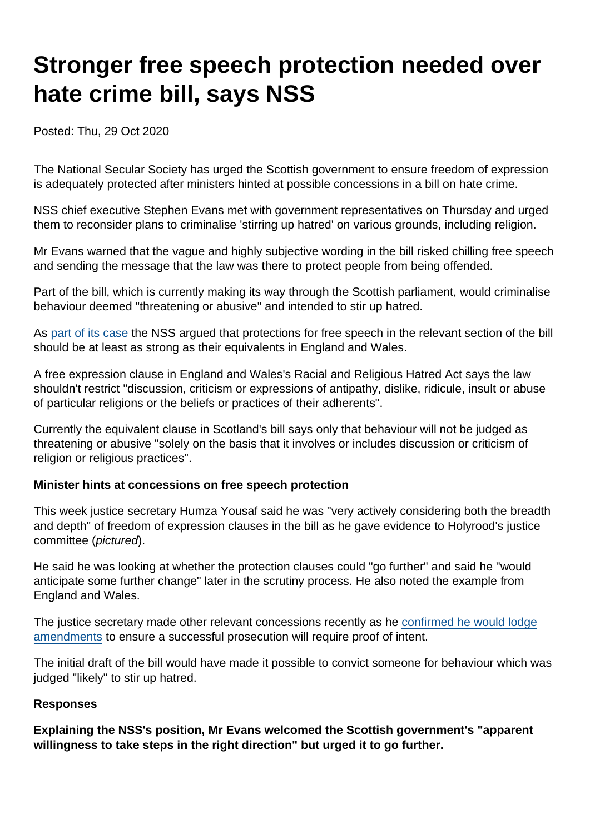# Stronger free speech protection needed over hate crime bill, says NSS

Posted: Thu, 29 Oct 2020

The National Secular Society has urged the Scottish government to ensure freedom of expression is adequately protected after ministers hinted at possible concessions in a bill on hate crime.

NSS chief executive Stephen Evans met with government representatives on Thursday and urged them to reconsider plans to criminalise 'stirring up hatred' on various grounds, including religion.

Mr Evans warned that the vague and highly subjective wording in the bill risked chilling free speech and sending the message that the law was there to protect people from being offended.

Part of the bill, which is currently making its way through the Scottish parliament, would criminalise behaviour deemed "threatening or abusive" and intended to stir up hatred.

As [part of its case](https://www.secularism.org.uk/free-expression/scottish-hate-crime-bill.html) the NSS argued that protections for free speech in the relevant section of the bill should be at least as strong as their equivalents in England and Wales.

A free expression clause in England and Wales's Racial and Religious Hatred Act says the law shouldn't restrict "discussion, criticism or expressions of antipathy, dislike, ridicule, insult or abuse of particular religions or the beliefs or practices of their adherents".

Currently the equivalent clause in Scotland's bill says only that behaviour will not be judged as threatening or abusive "solely on the basis that it involves or includes discussion or criticism of religion or religious practices".

Minister hints at concessions on free speech protection

This week justice secretary Humza Yousaf said he was "very actively considering both the breadth and depth" of freedom of expression clauses in the bill as he gave evidence to Holyrood's justice committee (pictured).

He said he was looking at whether the protection clauses could "go further" and said he "would anticipate some further change" later in the scrutiny process. He also noted the example from England and Wales.

The justice secretary made other relevant concessions recently as he [confirmed he would lodge](https://www.scotsman.com/news/politics/humza-yousaf-confirms-hate-crime-bill-amendments-3009780) [amendments](https://www.scotsman.com/news/politics/humza-yousaf-confirms-hate-crime-bill-amendments-3009780) to ensure a successful prosecution will require proof of intent.

The initial draft of the bill would have made it possible to convict someone for behaviour which was judged "likely" to stir up hatred.

#### Responses

Explaining the NSS's position, Mr Evans welcomed the Scottish government's "apparent willingness to take steps in the right direction" but urged it to go further.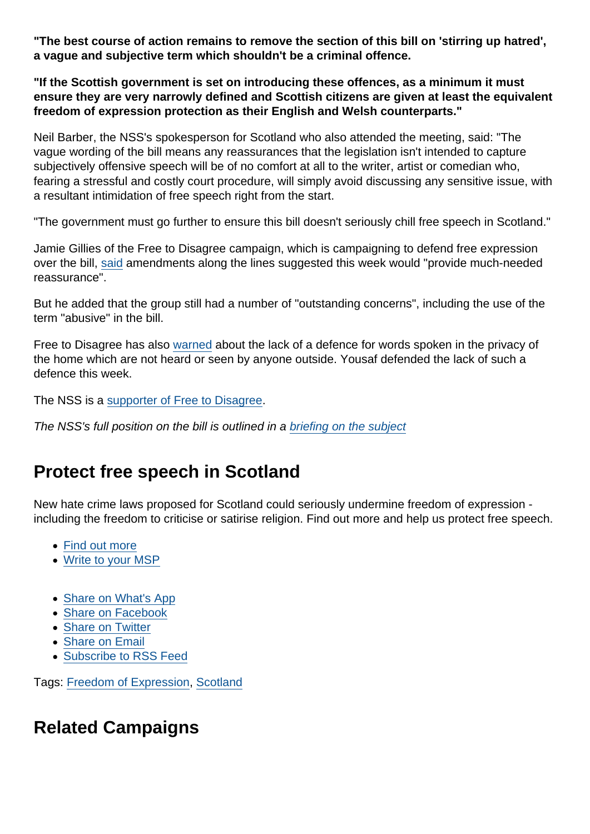"The best course of action remains to remove the section of this bill on 'stirring up hatred', a vague and subjective term which shouldn't be a criminal offence.

"If the Scottish government is set on introducing these offences, as a minimum it must ensure they are very narrowly defined and Scottish citizens are given at least the equivalent freedom of expression protection as their English and Welsh counterparts."

Neil Barber, the NSS's spokesperson for Scotland who also attended the meeting, said: "The vague wording of the bill means any reassurances that the legislation isn't intended to capture subjectively offensive speech will be of no comfort at all to the writer, artist or comedian who, fearing a stressful and costly court procedure, will simply avoid discussing any sensitive issue, with a resultant intimidation of free speech right from the start.

"The government must go further to ensure this bill doesn't seriously chill free speech in Scotland."

Jamie Gillies of the Free to Disagree campaign, which is campaigning to defend free expression over the bill, [said](https://www.pressandjournal.co.uk/fp/news/politics/scottish-politics/2600740/hate-crime-bill-humza-yousaf-very-open-to-changing-controversial-legislation/) amendments along the lines suggested this week would "provide much-needed reassurance".

But he added that the group still had a number of "outstanding concerns", including the use of the term "abusive" in the bill.

Free to Disagree has also [warned](https://freetodisagree.scot/introducing-the-free-to-disagree-campaign/) about the lack of a defence for words spoken in the privacy of the home which are not heard or seen by anyone outside. Yousaf defended the lack of such a defence this week.

The NSS is a [supporter of Free to Disagree.](https://freetodisagree.scot/about)

The NSS's full position on the bill is outlined in a [briefing on the subject](https://www.secularism.org.uk/uploads/briefing-scottish-hate-crime-bill.pdf?v=1603468148)

# Protect free speech in Scotland

New hate crime laws proposed for Scotland could seriously undermine freedom of expression including the freedom to criticise or satirise religion. Find out more and help us protect free speech.

- [Find out more](https://www.secularism.org.uk/free-expression/scottish-hate-crime-bill.html)
- [Write to your MSP](https://www.secularism.org.uk/free-expression/write-to-your-msp.html)
- [Share on What's App](whatsapp://send?text=http://www.secularism.org.uk/news/2020/10/stronger-free-speech-protection-needed-over-hate-crime-bill-says-nss?format=pdf)
- [Share on Facebook](https://www.facebook.com/sharer/sharer.php?u=http://www.secularism.org.uk/news/2020/10/stronger-free-speech-protection-needed-over-hate-crime-bill-says-nss?format=pdf&t=Stronger+free+speech+protection+needed+over+hate+crime+bill,+says+NSS)
- [Share on Twitter](https://twitter.com/intent/tweet?url=http://www.secularism.org.uk/news/2020/10/stronger-free-speech-protection-needed-over-hate-crime-bill-says-nss?format=pdf&text=Stronger+free+speech+protection+needed+over+hate+crime+bill,+says+NSS&via=NatSecSoc)
- [Share on Email](https://www.secularism.org.uk/share.html?url=http://www.secularism.org.uk/news/2020/10/stronger-free-speech-protection-needed-over-hate-crime-bill-says-nss?format=pdf&title=Stronger+free+speech+protection+needed+over+hate+crime+bill,+says+NSS)
- [Subscribe to RSS Feed](/mnt/web-data/www/cp-nss/feeds/rss/news)

Tags: [Freedom of Expression](https://www.secularism.org.uk/news/tags/Freedom+of+Expression), [Scotland](https://www.secularism.org.uk/news/tags/Scotland)

## Related Campaigns